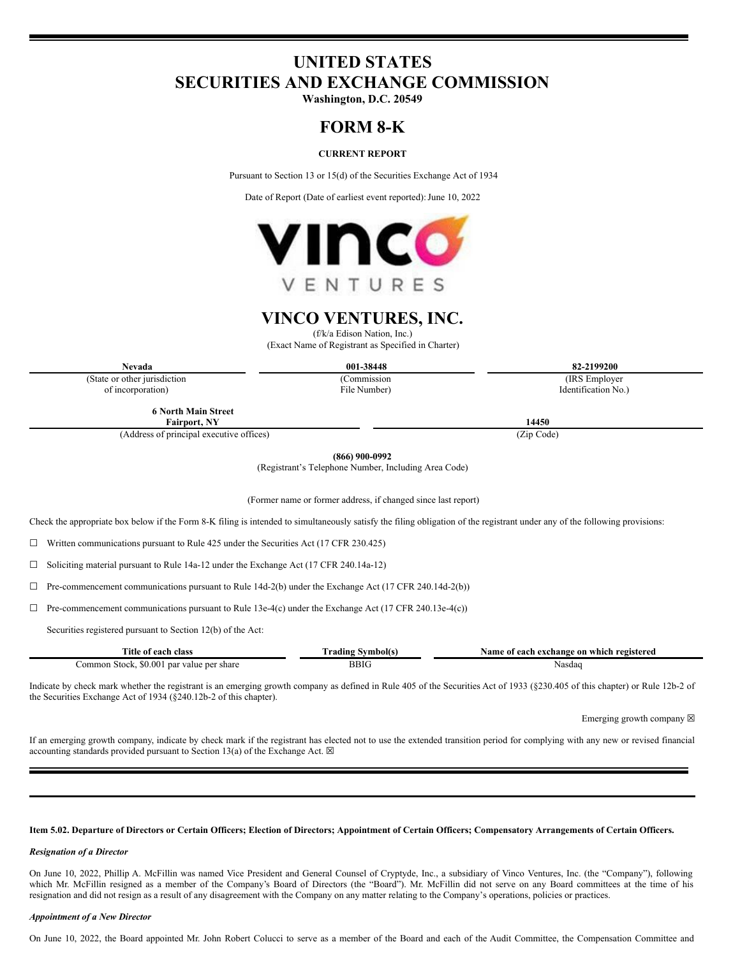# **UNITED STATES SECURITIES AND EXCHANGE COMMISSION**

**Washington, D.C. 20549**

# **FORM 8-K**

## **CURRENT REPORT**

Pursuant to Section 13 or 15(d) of the Securities Exchange Act of 1934

Date of Report (Date of earliest event reported): June 10, 2022



# **VINCO VENTURES, INC.**

(f/k/a Edison Nation, Inc.)

(Exact Name of Registrant as Specified in Charter)

(Commission File Number)

**Nevada 001-38448 82-2199200**

(State or other jurisdiction of incorporation)

**6 North Main Street**

**Fairport, NY 14450**

(Address of principal executive offices) (Zip Code)

**(866) 900-0992**

(Registrant's Telephone Number, Including Area Code)

(Former name or former address, if changed since last report)

Check the appropriate box below if the Form 8-K filing is intended to simultaneously satisfy the filing obligation of the registrant under any of the following provisions:

 $\Box$  Written communications pursuant to Rule 425 under the Securities Act (17 CFR 230.425)

☐ Soliciting material pursuant to Rule 14a-12 under the Exchange Act (17 CFR 240.14a-12)

 $\Box$  Pre-commencement communications pursuant to Rule 14d-2(b) under the Exchange Act (17 CFR 240.14d-2(b))

☐ Pre-commencement communications pursuant to Rule 13e-4(c) under the Exchange Act (17 CFR 240.13e-4(c))

Securities registered pursuant to Section 12(b) of the Act:

| Title of each class                                   | ≅vmbol(s)<br>  radıng | e of each exchange on which registered :<br>Name |
|-------------------------------------------------------|-----------------------|--------------------------------------------------|
| \$0.00<br>Stock.<br>par<br>∶ value per share<br>ommon | BBIC                  | Nasdac                                           |

Indicate by check mark whether the registrant is an emerging growth company as defined in Rule 405 of the Securities Act of 1933 (§230.405 of this chapter) or Rule 12b-2 of the Securities Exchange Act of 1934 (§240.12b-2 of this chapter).

Emerging growth company  $\boxtimes$ 

If an emerging growth company, indicate by check mark if the registrant has elected not to use the extended transition period for complying with any new or revised financial accounting standards provided pursuant to Section 13(a) of the Exchange Act.  $\boxtimes$ 

#### Item 5.02. Departure of Directors or Certain Officers; Election of Directors; Appointment of Certain Officers; Compensatory Arrangements of Certain Officers.

#### *Resignation of a Director*

On June 10, 2022, Phillip A. McFillin was named Vice President and General Counsel of Cryptyde, Inc., a subsidiary of Vinco Ventures, Inc. (the "Company"), following which Mr. McFillin resigned as a member of the Company's Board of Directors (the "Board"). Mr. McFillin did not serve on any Board committees at the time of his resignation and did not resign as a result of any disagreement with the Company on any matter relating to the Company's operations, policies or practices.

#### *Appointment of a New Director*

On June 10, 2022, the Board appointed Mr. John Robert Colucci to serve as a member of the Board and each of the Audit Committee, the Compensation Committee and

(IRS Employer

Identification No.)